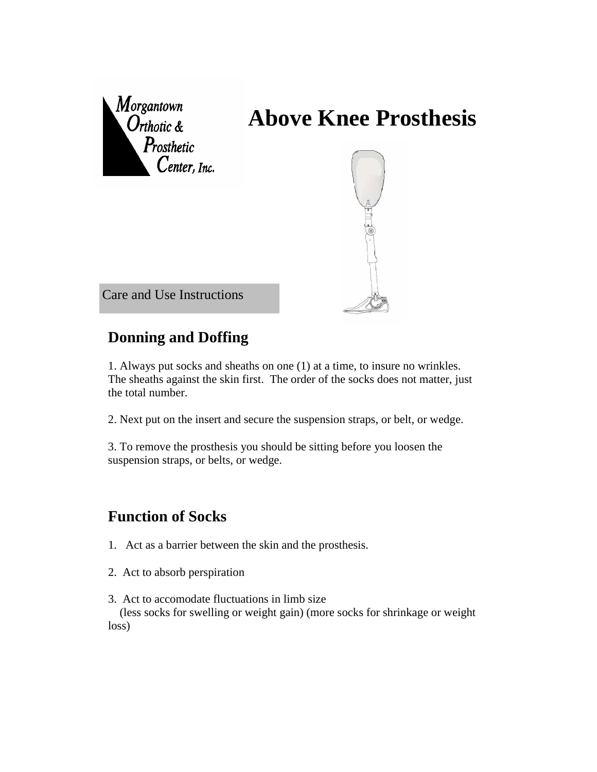

## **Donning and Doffing**

1. Always put socks and sheaths on one (1) at a time, to insure no wrinkles. The sheaths against the skin first. The order of the socks does not matter, just the total number.

2. Next put on the insert and secure the suspension straps, or belt, or wedge.

3. To remove the prosthesis you should be sitting before you loosen the suspension straps, or belts, or wedge.

## **Function of Socks**

- 1. Act as a barrier between the skin and the prosthesis.
- 2. Act to absorb perspiration
- 3. Act to accomodate fluctuations in limb size

 (less socks for swelling or weight gain) (more socks for shrinkage or weight loss)